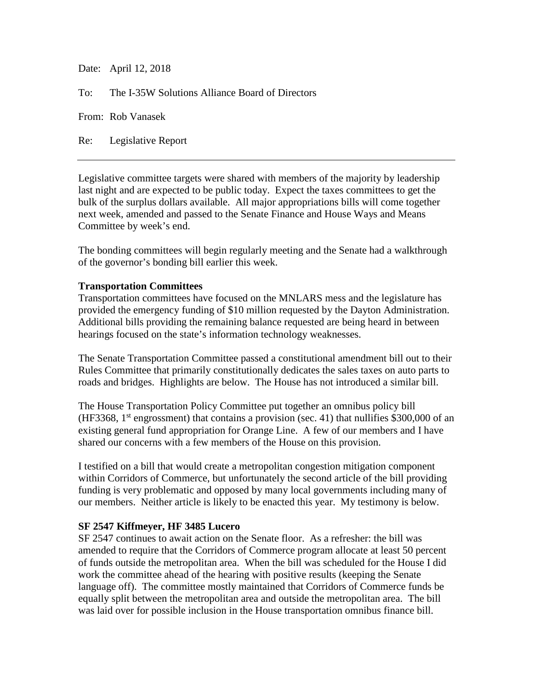Date: April 12, 2018

To: The I-35W Solutions Alliance Board of Directors

From: Rob Vanasek

Re: Legislative Report

Legislative committee targets were shared with members of the majority by leadership last night and are expected to be public today. Expect the taxes committees to get the bulk of the surplus dollars available. All major appropriations bills will come together next week, amended and passed to the Senate Finance and House Ways and Means Committee by week's end.

The bonding committees will begin regularly meeting and the Senate had a walkthrough of the governor's bonding bill earlier this week.

#### **Transportation Committees**

Transportation committees have focused on the MNLARS mess and the legislature has provided the emergency funding of \$10 million requested by the Dayton Administration. Additional bills providing the remaining balance requested are being heard in between hearings focused on the state's information technology weaknesses.

The Senate Transportation Committee passed a constitutional amendment bill out to their Rules Committee that primarily constitutionally dedicates the sales taxes on auto parts to roads and bridges. Highlights are below. The House has not introduced a similar bill.

The House Transportation Policy Committee put together an omnibus policy bill (HF3368,  $1<sup>st</sup>$  engrossment) that contains a provision (sec. 41) that nullifies \$300,000 of an existing general fund appropriation for Orange Line. A few of our members and I have shared our concerns with a few members of the House on this provision.

I testified on a bill that would create a metropolitan congestion mitigation component within Corridors of Commerce, but unfortunately the second article of the bill providing funding is very problematic and opposed by many local governments including many of our members. Neither article is likely to be enacted this year. My testimony is below.

## **SF 2547 Kiffmeyer, HF 3485 Lucero**

SF 2547 continues to await action on the Senate floor. As a refresher: the bill was amended to require that the Corridors of Commerce program allocate at least 50 percent of funds outside the metropolitan area. When the bill was scheduled for the House I did work the committee ahead of the hearing with positive results (keeping the Senate language off). The committee mostly maintained that Corridors of Commerce funds be equally split between the metropolitan area and outside the metropolitan area. The bill was laid over for possible inclusion in the House transportation omnibus finance bill.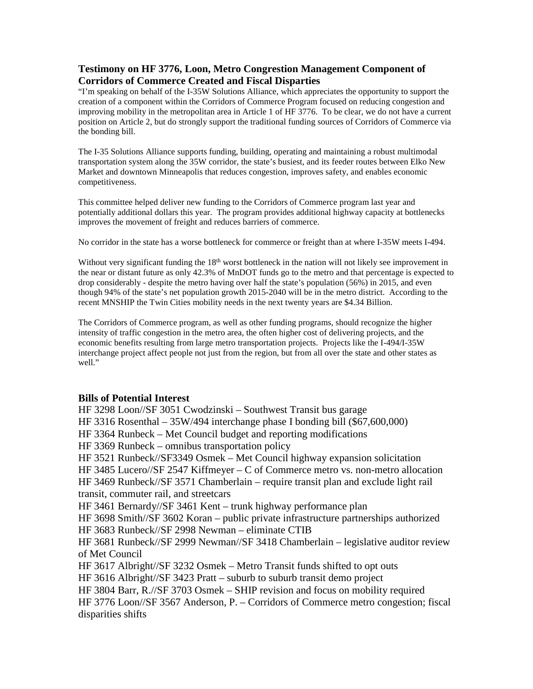# **Testimony on HF 3776, Loon, Metro Congrestion Management Component of Corridors of Commerce Created and Fiscal Disparties**

"I'm speaking on behalf of the I-35W Solutions Alliance, which appreciates the opportunity to support the creation of a component within the Corridors of Commerce Program focused on reducing congestion and improving mobility in the metropolitan area in Article 1 of HF 3776. To be clear, we do not have a current position on Article 2, but do strongly support the traditional funding sources of Corridors of Commerce via the bonding bill.

The I-35 Solutions Alliance supports funding, building, operating and maintaining a robust multimodal transportation system along the 35W corridor, the state's busiest, and its feeder routes between Elko New Market and downtown Minneapolis that reduces congestion, improves safety, and enables economic competitiveness.

This committee helped deliver new funding to the Corridors of Commerce program last year and potentially additional dollars this year. The program provides additional highway capacity at bottlenecks improves the movement of freight and reduces barriers of commerce.

No corridor in the state has a worse bottleneck for commerce or freight than at where I-35W meets I-494.

Without very significant funding the 18<sup>th</sup> worst bottleneck in the nation will not likely see improvement in the near or distant future as only 42.3% of MnDOT funds go to the metro and that percentage is expected to drop considerably - despite the metro having over half the state's population (56%) in 2015, and even though 94% of the state's net population growth 2015-2040 will be in the metro district. According to the recent MNSHIP the Twin Cities mobility needs in the next twenty years are \$4.34 Billion.

The Corridors of Commerce program, as well as other funding programs, should recognize the higher intensity of traffic congestion in the metro area, the often higher cost of delivering projects, and the economic benefits resulting from large metro transportation projects. Projects like the I-494/I-35W interchange project affect people not just from the region, but from all over the state and other states as well."

## **Bills of Potential Interest**

HF 3298 Loon//SF 3051 Cwodzinski – Southwest Transit bus garage HF 3316 Rosenthal – 35W/494 interchange phase I bonding bill (\$67,600,000) HF 3364 Runbeck – Met Council budget and reporting modifications HF 3369 Runbeck – omnibus transportation policy HF 3521 Runbeck//SF3349 Osmek – Met Council highway expansion solicitation HF 3485 Lucero//SF 2547 Kiffmeyer – C of Commerce metro vs. non-metro allocation HF 3469 Runbeck//SF 3571 Chamberlain – require transit plan and exclude light rail transit, commuter rail, and streetcars HF 3461 Bernardy//SF 3461 Kent – trunk highway performance plan HF 3698 Smith//SF 3602 Koran – public private infrastructure partnerships authorized HF 3683 Runbeck//SF 2998 Newman – eliminate CTIB HF 3681 Runbeck//SF 2999 Newman//SF 3418 Chamberlain – legislative auditor review of Met Council HF 3617 Albright//SF 3232 Osmek – Metro Transit funds shifted to opt outs HF 3616 Albright//SF 3423 Pratt – suburb to suburb transit demo project HF 3804 Barr, R.//SF 3703 Osmek – SHIP revision and focus on mobility required HF 3776 Loon//SF 3567 Anderson, P. – Corridors of Commerce metro congestion; fiscal disparities shifts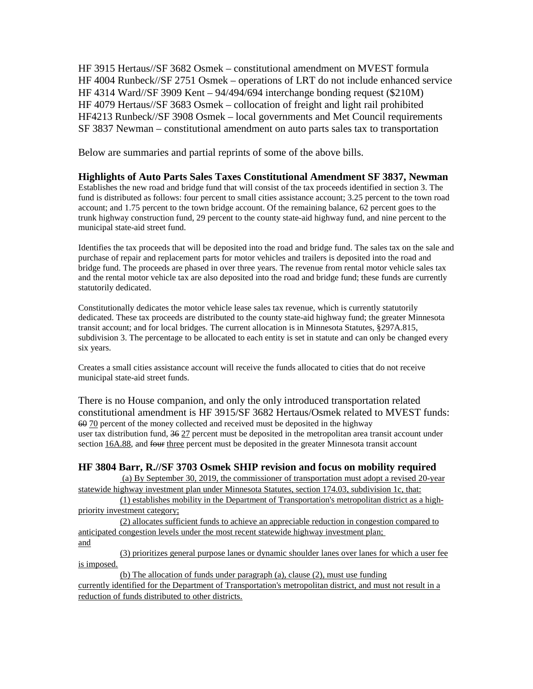HF 3915 Hertaus//SF 3682 Osmek – constitutional amendment on MVEST formula HF 4004 Runbeck//SF 2751 Osmek – operations of LRT do not include enhanced service HF 4314 Ward//SF 3909 Kent – 94/494/694 interchange bonding request (\$210M) HF 4079 Hertaus//SF 3683 Osmek – collocation of freight and light rail prohibited HF4213 Runbeck//SF 3908 Osmek – local governments and Met Council requirements SF 3837 Newman – constitutional amendment on auto parts sales tax to transportation

Below are summaries and partial reprints of some of the above bills.

#### **Highlights of Auto Parts Sales Taxes Constitutional Amendment SF 3837, Newman**

Establishes the new road and bridge fund that will consist of the tax proceeds identified in section 3. The fund is distributed as follows: four percent to small cities assistance account; 3.25 percent to the town road account; and 1.75 percent to the town bridge account. Of the remaining balance, 62 percent goes to the trunk highway construction fund, 29 percent to the county state-aid highway fund, and nine percent to the municipal state-aid street fund.

Identifies the tax proceeds that will be deposited into the road and bridge fund. The sales tax on the sale and purchase of repair and replacement parts for motor vehicles and trailers is deposited into the road and bridge fund. The proceeds are phased in over three years. The revenue from rental motor vehicle sales tax and the rental motor vehicle tax are also deposited into the road and bridge fund; these funds are currently statutorily dedicated.

Constitutionally dedicates the motor vehicle lease sales tax revenue, which is currently statutorily dedicated. These tax proceeds are distributed to the county state-aid highway fund; the greater Minnesota transit account; and for local bridges. The current allocation is in Minnesota Statutes, §297A.815, subdivision 3. The percentage to be allocated to each entity is set in statute and can only be changed every six years.

Creates a small cities assistance account will receive the funds allocated to cities that do not receive municipal state-aid street funds.

There is no House companion, and only the only introduced transportation related constitutional amendment is HF 3915/SF 3682 Hertaus/Osmek related to MVEST funds: 60 70 percent of the money collected and received must be deposited in the highway user tax distribution fund, 36 27 percent must be deposited in the metropolitan area transit account under section [16A.88,](https://www.revisor.mn.gov/statutes/?id=16A.88) and four three percent must be deposited in the greater Minnesota transit account

#### **HF 3804 Barr, R.//SF 3703 Osmek SHIP revision and focus on mobility required**

(a) By September 30, 2019, the commissioner of transportation must adopt a revised 20-year statewide highway investment plan under Minnesota Statutes, section 174.03, subdivision 1c, that:

(1) establishes mobility in the Department of Transportation's metropolitan district as a highpriority investment category;

(2) allocates sufficient funds to achieve an appreciable reduction in congestion compared to anticipated congestion levels under the most recent statewide highway investment plan; and

(3) prioritizes general purpose lanes or dynamic shoulder lanes over lanes for which a user fee is imposed.

(b) The allocation of funds under paragraph (a), clause (2), must use funding

currently identified for the Department of Transportation's metropolitan district, and must not result in a reduction of funds distributed to other districts.